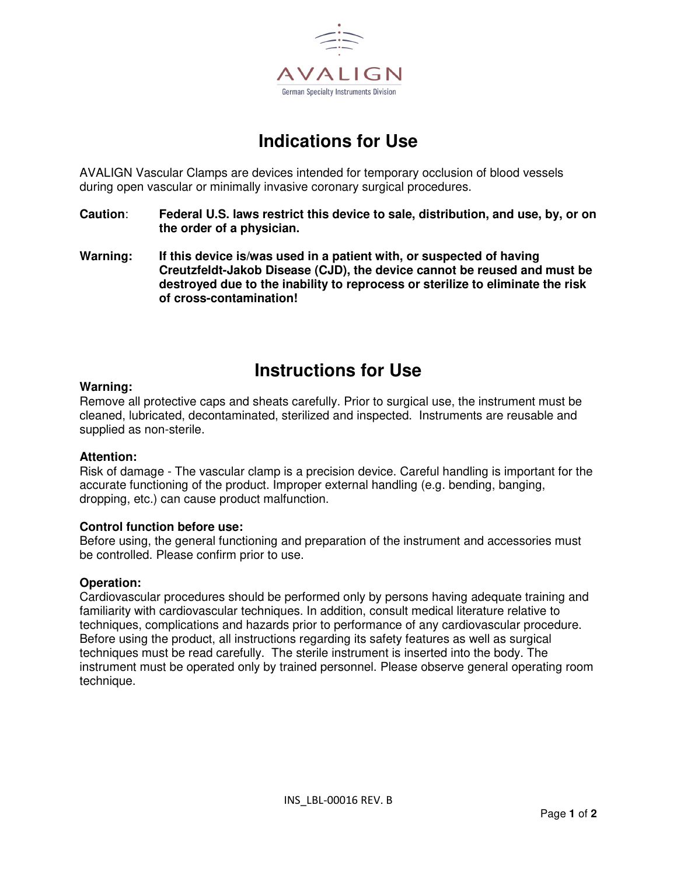

# **Indications for Use**

AVALIGN Vascular Clamps are devices intended for temporary occlusion of blood vessels during open vascular or minimally invasive coronary surgical procedures.

- **Caution**: **Federal U.S. laws restrict this device to sale, distribution, and use, by, or on the order of a physician.**
- **Warning: If this device is/was used in a patient with, or suspected of having Creutzfeldt-Jakob Disease (CJD), the device cannot be reused and must be destroyed due to the inability to reprocess or sterilize to eliminate the risk of cross-contamination!**

## **Instructions for Use**

### **Warning:**

Remove all protective caps and sheats carefully. Prior to surgical use, the instrument must be cleaned, lubricated, decontaminated, sterilized and inspected. Instruments are reusable and supplied as non-sterile.

### **Attention:**

Risk of damage - The vascular clamp is a precision device. Careful handling is important for the accurate functioning of the product. Improper external handling (e.g. bending, banging, dropping, etc.) can cause product malfunction.

### **Control function before use:**

Before using, the general functioning and preparation of the instrument and accessories must be controlled. Please confirm prior to use.

### **Operation:**

Cardiovascular procedures should be performed only by persons having adequate training and familiarity with cardiovascular techniques. In addition, consult medical literature relative to techniques, complications and hazards prior to performance of any cardiovascular procedure. Before using the product, all instructions regarding its safety features as well as surgical techniques must be read carefully. The sterile instrument is inserted into the body. The instrument must be operated only by trained personnel. Please observe general operating room technique.